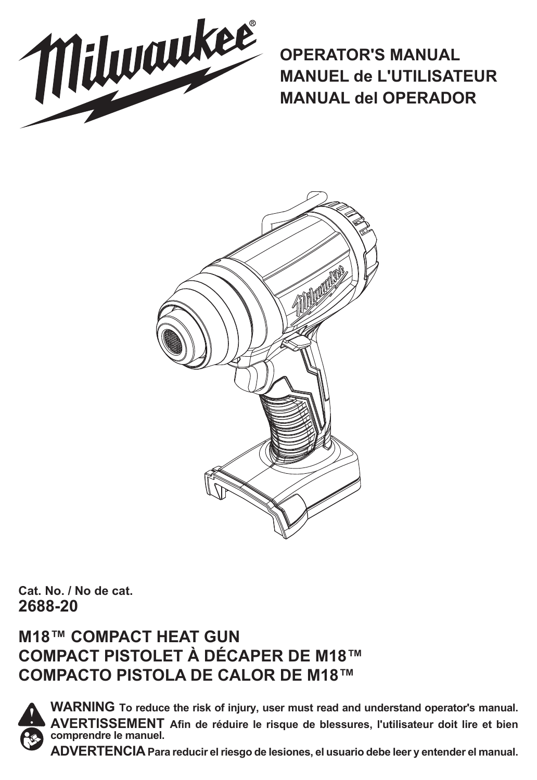

**OPERATOR'S MANUAL MANUEL de L'UTILISATEUR MANUAL del OPERADOR**



**Cat. No. / No de cat. 2688-20**

### **M18™ COMPACT HEAT GUN COMPACT PISTOLET À DÉCAPER DE M18™ COMPACTO PISTOLA DE CALOR DE M18™**



**WARNING To reduce the risk of injury, user must read and understand operator's manual. AVERTISSEMENT Afin de réduire le risque de blessures, l'utilisateur doit lire et bien comprendre le manuel.**

**ADVERTENCIA Para reducir el riesgo de lesiones, el usuario debe leer y entender el manual.**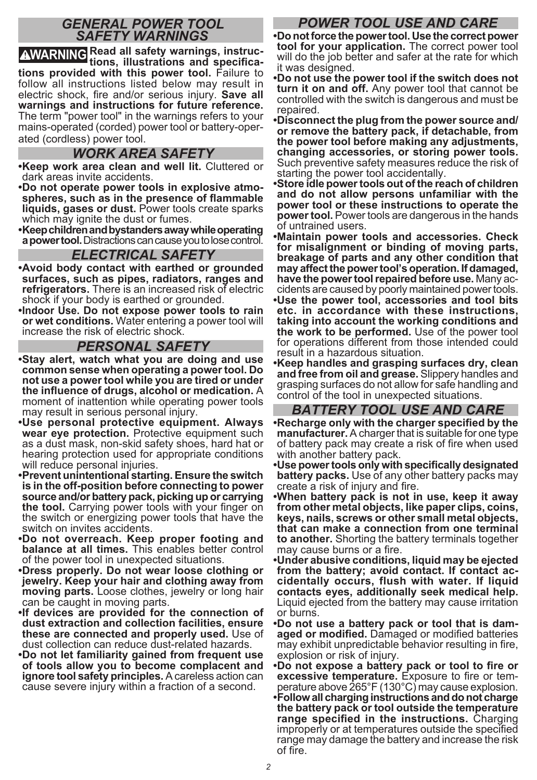#### *GENERAL POWER TOOL SAFETY WARNINGS*

**WARNING Read all safety warnings, instruc-tions, illustrations and specifications provided with this power tool.** Failure to follow all instructions listed below may result in electric shock, fire and/or serious injury. **Save all warnings and instructions for future reference.**  The term "power tool" in the warnings refers to your mains-operated (corded) power tool or battery-operated (cordless) power tool.

#### *WORK AREA SAFETY*

- **•Keep work area clean and well lit.** Cluttered or dark areas invite accidents.
- **•Do not operate power tools in explosive atmo- spheres, such as in the presence of flammable liquids, gases or dust.** Power tools create sparks which may ignite the dust or fumes.
- **•Keep children and bystanders away while operating a power tool.** Distractions can cause you to lose control.

#### *ELECTRICAL SAFETY*

- **•Avoid body contact with earthed or grounded surfaces, such as pipes, radiators, ranges and refrigerators.** There is an increased risk of electric shock if your body is earthed or grounded.
- **•Indoor Use. Do not expose power tools to rain or wet conditions.** Water entering a power tool will increase the risk of electric shock.

#### *PERSONAL SAFETY*

- **•Stay alert, watch what you are doing and use common sense when operating a power tool. Do not use a power tool while you are tired or under the influence of drugs, alcohol or medication.** A moment of inattention while operating power tools may result in serious personal injury.
- **•Use personal protective equipment. Always wear eye protection.** Protective equipment such as a dust mask, non-skid safety shoes, hard hat or hearing protection used for appropriate conditions will reduce personal injuries.
- **•Prevent unintentional starting. Ensure the switch is in the off-position before connecting to power source and/or battery pack, picking up or carrying the tool.** Carrying power tools with your finger on the switch or energizing power tools that have the switch on invites accidents.
- **•Do not overreach. Keep proper footing and balance at all times.** This enables better control of the power tool in unexpected situations.
- **•Dress properly. Do not wear loose clothing or jewelry. Keep your hair and clothing away from moving parts.** Loose clothes, jewelry or long hair can be caught in moving parts.
- **•If devices are provided for the connection of dust extraction and collection facilities, ensure these are connected and properly used.** Use of dust collection can reduce dust-related hazards.
- **•Do not let familiarity gained from frequent use of tools allow you to become complacent and ignore tool safety principles.** A careless action can cause severe injury within a fraction of a second.

### *POWER TOOL USE AND CARE*

**•Do not force the power tool. Use the correct power tool for your application.** The correct power tool will do the job better and safer at the rate for which it was designed.

**•Do not use the power tool if the switch does not turn it on and off.** Any power tool that cannot be controlled with the switch is dangerous and must be repaired.

**•Disconnect the plug from the power source and/ or remove the battery pack, if detachable, from the power tool before making any adjustments, changing accessories, or storing power tools.**  Such preventive safety measures reduce the risk of starting the power tool accidentally.

**•Store idle power tools out of the reach of children and do not allow persons unfamiliar with the power tool or these instructions to operate the power tool.** Power tools are dangerous in the hands of untrained users.

**•Maintain power tools and accessories. Check for misalignment or binding of moving parts, breakage of parts and any other condition that may affect the power tool's operation. If damaged, have the power tool repaired before use.** Many ac- cidents are caused by poorly maintained power tools.

- **•Use the power tool, accessories and tool bits etc. in accordance with these instructions, taking into account the working conditions and the work to be performed.** Use of the power tool for operations different from those intended could result in a hazardous situation.
- **•Keep handles and grasping surfaces dry, clean and free from oil and grease.** Slippery handles and grasping surfaces do not allow for safe handling and control of the tool in unexpected situations.

#### *BATTERY TOOL USE AND CARE*

**•Recharge only with the charger specified by the manufacturer.** A charger that is suitable for one type of battery pack may create a risk of fire when used with another battery pack.

- **•Use power tools only with specifically designated**  battery packs. Use of any other battery packs may create a risk of injury and fire.
- **•When battery pack is not in use, keep it away from other metal objects, like paper clips, coins, keys, nails, screws or other small metal objects, that can make a connection from one terminal to another.** Shorting the battery terminals together may cause burns or a fire.
- **•Under abusive conditions, liquid may be ejected**   $f$  cidentally occurs, flush with water. If liquid **contacts eyes, additionally seek medical help.**  Liquid ejected from the battery may cause irritation or burns.
- **•Do not use a battery pack or tool that is dam- aged or modified.** Damaged or modified batteries may exhibit unpredictable behavior resulting in fire, explosion or risk of injury.

**•Do not expose a battery pack or tool to fire or excessive temperature.** Exposure to fire or tem-<br>perature above 265°F (130°C) may cause explosion. **•Follow all charging instructions and do not charge the battery pack or tool outside the temperature range specified in the instructions.** Charging improperly or at temperatures outside the specified range may damage the battery and increase the risk of fire.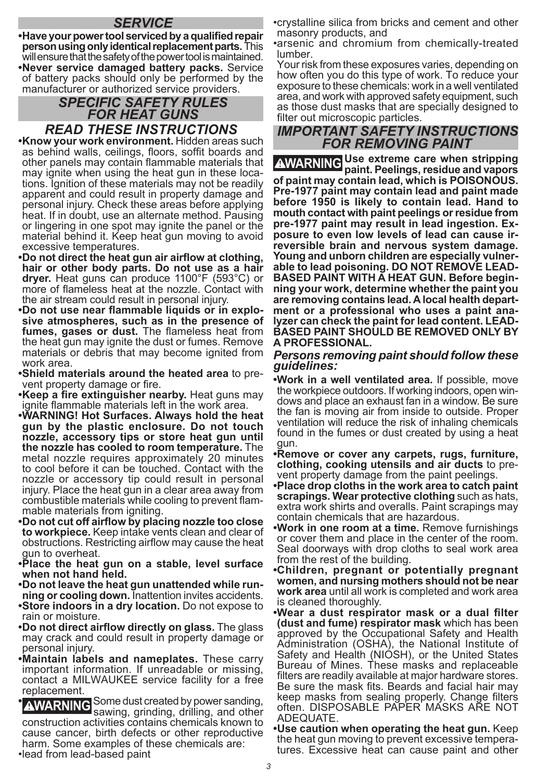#### *SERVICE*

**•Have your power tool serviced by a qualified repair person using only identical replacement parts.** This will ensure that the safety of the power tool is maintained. **•Never service damaged battery packs.** Service of battery packs should only be performed by the manufacturer or authorized service providers.

### *SPECIFIC SAFETY RULES FOR HEAT GUNS<br>READ THESE INSTRUCTIONS*

**•Know your work environment.** Hidden areas such as behind walls, ceilings, floors, soffit boards and other panels may contain flammable materials that tions. Ignition of these materials may not be readily apparent and could result in property damage and personal injury. Check these areas before applying heat. If in doubt, use an alternate method. Pausing or lingering in one spot may ignite the panel or the material behind it. Keep heat gun moving to avoid excessive temperatures.

- **•Do not direct the heat gun air airflow at clothing, hair or other body parts. Do not use as a hair dryer.** Heat guns can produce 1100°F (593°C) or more of flameless heat at the nozzle. Contact with the air stream could result in personal injury.<br>•Do not use near flammable liquids or in explo-
- $sive$  atmospheres, such as in the presence of **fumes, gases or dust.** The flameless heat from the heat gun may ignite the dust or fumes. Remove materials or debris that may become ignited from work area.
- **•Shield materials around the heated area** to pre- vent property damage or fire.

**•Keep a fire extinguisher nearby.** Heat guns may ignite flammable materials left in the work area.

- **•WARNING! Hot Surfaces. Always hold the heat gun by the plastic enclosure. Do not touch nozzle, accessory tips or store heat gun until the nozzle has cooled to room temperature.** The metal nozzle requires approximately 20 minutes to cool before it can be touched. Contact with the nozzle or accessory tip could result in personal injury. Place the heat gun in a clear area away from combustible materials while cooling to prevent flam- mable materials from igniting.
- **•Do not cut off airflow by placing nozzle too close to workpiece.** Keep intake vents clean and clear of obstructions. Restricting airflow may cause the heat gun to overheat.
- **•Place the heat gun on a stable, level surface when not hand held.**
- **•Do not leave the heat gun unattended while run- ning or cooling down.** Inattention invites accidents. **•Store indoors in a dry location.** Do not expose to
- rain or moisture.
- **•Do not direct airflow directly on glass.** The glass may crack and could result in property damage or personal injury.
- **•Maintain labels and nameplates.** These carry important information. If unreadable or missing, contact a MILWAUKEE service facility for a free replacement.
- **• AWARNING** Some dust created by power sanding, and other construction activities contains chemicals known to cause cancer, birth defects or other reproductive harm. Some examples of these chemicals are: •lead from lead-based paint

•crystalline silica from bricks and cement and other masonry products, and

•arsenic and chromium from chemically-treated lumber.

Your risk from these exposures varies, depending on how often you do this type of work. To reduce your exposure to these chemicals: work in a well ventilated area, and work with approved safety equipment, such as those dust masks that are specially designed to filter out microscopic particles.

#### *IMPORTANT SAFETY INSTRUCTIONS FOR REMOVING PAINT*

**WARNING Use extreme care when stripping paint. Peelings, residue and vapors of paint may contain lead, which is POISONOUS. Pre-1977 paint may contain lead and paint made before 1950 is likely to contain lead. Hand to mouth contact with paint peelings or residue from pre-1977 paint may result in lead ingestion. Exposure to even low levels of lead can cause irreversible brain and nervous system damage. Young and unborn children are especially vulnerable to lead poisoning. DO NOT REMOVE LEAD-BASED PAINT WITH A HEAT GUN. Before beginning your work, determine whether the paint you are removing contains lead. A local health department or a professional who uses a paint analyzer can check the paint for lead content. LEAD-BASED PAINT SHOULD BE REMOVED ONLY BY A PROFESSIONAL.**

#### *Persons removing paint should follow these guidelines:*

**•Work in a well ventilated area.** If possible, move dows and place an exhaust fan in a window. Be sure the fan is moving air from inside to outside. Proper ventilation will reduce the risk of inhaling chemicals found in the fumes or dust created by using a heat gun.

**•Remove or cover any carpets, rugs, furniture, clothing, cooking utensils and air ducts** to pre- vent property damage from the paint peelings.

**•Place drop cloths in the work area to catch paint scrapings. Wear protective clothing** such as hats, extra work shirts and overalls. Paint scrapings may contain chemicals that are hazardous.

**•Work in one room at a time.** Remove furnishings or cover them and place in the center of the room. Seal doorways with drop cloths to seal work area from the rest of the building.

**•Children, pregnant or potentially pregnant women, and nursing mothers should not be near work area** until all work is completed and work area is cleaned thoroughly.

- **•Wear a dust respirator mask or a dual filter (dust and fume) respirator mask** which has been approved by the Occupational Safety and Health Administration (OSHA), the National Institute of Safety and Health (NIOSH), or the United States Bureau of Mines. These masks and replaceable filters are readily available at major hardware stores. Be sure the mask fits. Beards and facial hair may keep masks from sealing properly. Change filters often. DISPOSABLE PAPER MASKS ARE NOT ADEQUATE.
- **•Use caution when operating the heat gun.** Keep the heat gun moving to prevent excessive tempera- tures. Excessive heat can cause paint and other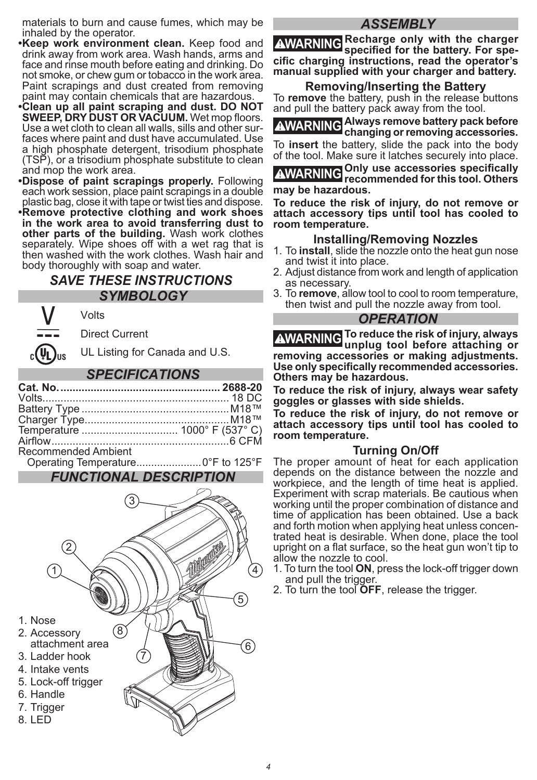materials to burn and cause fumes, which may be inhaled by the operator.

- **•Keep work environment clean.** Keep food and drink away from work area. Wash hands, arms and face and rinse mouth before eating and drinking. Do not smoke, or chew gum or tobacco in the work area. Paint scrapings and dust created from removing paint may contain chemicals that are hazardous.
- **•Clean up all paint scraping and dust. DO NOT SWEEP, DRY DUST OR VACUUM.** Wet mop floors.<br>Use a wet cloth to clean all walls, sills and other surfaces where paint and dust have accumulated. Use a high phosphate detergent, trisodium phosphate (TSP), or a trisodium phosphate substitute to clean and mop the work area.
- **•Dispose of paint scrapings properly.** Following each work session, place paint scrapings in a double plastic bag, close it with tape or twist ties and dispose.
- **•Remove protective clothing and work shoes in the work area to avoid transferring dust to other parts of the building.** Wash work clothes separately. Wipe shoes off with a wet rag that is then washed with the work clothes. Wash hair and body thoroughly with soap and water.

#### *SAVE THESE INSTRUCTIONS SYMBOLOGY*

Direct Current

Volts

**UL Listing for Canada and U.S.** 

#### *SPECIFICATIONS*

| Recommended Ambient |  |
|---------------------|--|
|                     |  |

#### *FUNCTIONAL DESCRIPTION*



#### *ASSEMBLY*

**WARNING Recharge only with the charger specified for the battery. For specific charging instructions, read the operator's manual supplied with your charger and battery.**

#### **Removing/Inserting the Battery**

To **remove** the battery, push in the release buttons and pull the battery pack away from the tool.

**WARNING Always remove battery pack before changing or removing accessories.** To **insert** the battery, slide the pack into the body

of the tool. Make sure it latches securely into place.

**WARNING Only use accessories specifically recommended for this tool. Others may be hazardous.**

**To reduce the risk of injury, do not remove or attach accessory tips until tool has cooled to room temperature.** 

#### **Installing/Removing Nozzles**

- 1. To **install**, slide the nozzle onto the heat gun nose and twist it into place.
- 2. Adjust distance from work and length of application as necessary.
- 3. To **remove**, allow tool to cool to room temperature, then twist and pull the nozzle away from tool.

#### *OPERATION*

**WARNING To reduce the risk of injury, always unplug tool before attaching or removing accessories or making adjustments. Use only specifically recommended accessories. Others may be hazardous.**

**To reduce the risk of injury, always wear safety goggles or glasses with side shields.**

**To reduce the risk of injury, do not remove or attach accessory tips until tool has cooled to room temperature.** 

#### **Turning On/Off**

The proper amount of heat for each application depends on the distance between the nozzle and workpiece, and the length of time heat is applied. Experiment with scrap materials. Be cautious when working until the proper combination of distance and time of application has been obtained. Use a back<br>and forth motion when applying heat unless concentrated heat is desirable. When done, place the tool upright on a flat surface, so the heat gun won't tip to allow the nozzle to cool.

- 1. To turn the tool **ON**, press the lock-off trigger down and pull the trigger.
- 2. To turn the tool **OFF**, release the trigger.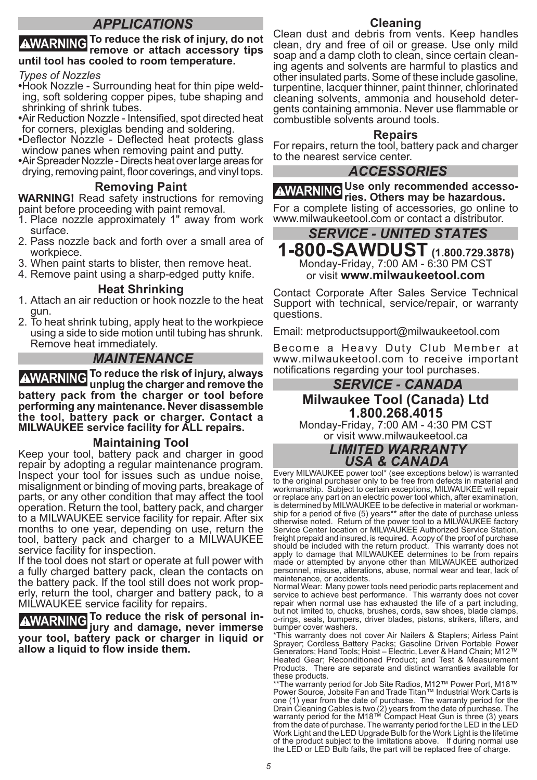#### *APPLICATIONS*

### **WARNING To reduce the risk of injury, do not remove or attach accessory tips until tool has cooled to room temperature.**

- *Types of Nozzles*  $ing,$  soft soldering copper pipes, tube shaping and shrinking of shrink tubes.
- **•**Air Reduction Nozzle Intensified, spot directed heat
- for corners, plexiglas bending and soldering. **•**Deflector Nozzle Deflected heat protects glass window panes when removing paint and putty.

**•**Air Spreader Nozzle - Directs heat over large areas for drying, removing paint, floor coverings, and vinyl tops.

#### **Removing Paint**

**WARNING!** Read safety instructions for removing paint before proceeding with paint removal.

- 1. Place nozzle approximately 1" away from work surface.
- 2. Pass nozzle back and forth over a small area of workpiece.
- 3. When paint starts to blister, then remove heat.
- 4. Remove paint using a sharp-edged putty knife.

#### **Heat Shrinking**

- 1. Attach an air reduction or hook nozzle to the heat gun.
- 2. To heat shrink tubing, apply heat to the workpiece using a side to side motion until tubing has shrunk. Remove heat immediately.

#### *MAINTENANCE*

**WARNING To reduce the risk of injury, always unplug the charger and remove the battery pack from the charger or tool before performing any maintenance. Never disassemble the tool, battery pack or charger. Contact a MILWAUKEE service facility for ALL repairs.**

#### **Maintaining Tool**

Keep your tool, battery pack and charger in good repair by adopting a regular maintenance program. Inspect your tool for issues such as undue noise, misalignment or binding of moving parts, breakage of parts, or any other condition that may affect the tool operation. Return the tool, battery pack, and charger to a MILWAUKEE service facility for repair. After six months to one year, depending on use, return the tool, battery pack and charger to a MILWAUKEE service facility for inspection.

If the tool does not start or operate at full power with a fully charged battery pack, clean the contacts on erly, return the tool, charger and battery pack, to a MILWAUKEE service facility for repairs.

**WARNING To reduce the risk of personal in-jury and damage, never immerse your tool, battery pack or charger in liquid or allow a liquid to flow inside them.**

#### **Cleaning**

Clean dust and debris from vents. Keep handles clean, dry and free of oil or grease. Use only mild<br>soap and a damp cloth to clean, since certain cleaning agents and solvents are harmful to plastics and other insulated parts. Some of these include gasoline, turpentine, lacquer thinner, paint thinner, chlorinated cleaning solvents, ammonia and household detergents containing ammonia. Never use flammable or combustible solvents around tools.

#### **Repairs**

For repairs, return the tool, battery pack and charger to the nearest service center.

#### *ACCESSORIES*

**WARNING Use only recommended accesso-ries. Others may be hazardous.** For a complete listing of accessories, go online to www.milwaukeetool.com or contact a distributor.

#### *SERVICE - UNITED STATES* **1-800-SAWDUST (1.800.729.3878)** Monday-Friday, 7:00 AM - 6:30 PM CST or visit **www.milwaukeetool.com**

Contact Corporate After Sales Service Technical Support with technical, service/repair, or warranty questions.

Email: metproductsupport@milwaukeetool.com

Become a Heavy Duty Club Member at www.milwaukeetool.com to receive important notifications regarding your tool purchases.

#### *SERVICE - CANADA* **Milwaukee Tool (Canada) Ltd 1.800.268.4015**

Monday-Friday, 7:00 AM - 4:30 PM CST or visit www.milwaukeetool.ca

> *LIMITED WARRANTY USA & CANADA*

Every MILWAUKEE power tool\* (see exceptions below) is warranted to the original purchaser only to be free from defects in material and workmanship. Subject to certain exceptions, MILWAUKEE will repair or replace any part on an electric power tool which, after examination, is determined by MILWAUKEE to be defective in material or workmanship for a period of five (5) years\*\* after the date of purchase unless otherwise noted. Return of the power tool to a MILWAUKEE factory Service Center location or MILWAUKEE Authorized Service Station, freight prepaid and insured, is required. A copy of the proof of purchase should be included with the return product. This warranty does not apply to damage that MILWAUKEE determines to be from repairs made or attempted by anyone other than MILWAUKEE authorized personnel, misuse, alterations, abuse, normal wear and tear, lack of

maintenance, or accidents. Normal Wear: Many power tools need periodic parts replacement and service to achieve best performance. This warranty does not cover repair when normal use has exhausted the life of a part including, but not limited to, chucks, brushes, cords, saw shoes, blade clamps, o-rings, seals, bumpers, driver blades, pistons, strikers, lifters, and bumper cover washers.

\*This warranty does not cover Air Nailers & Staplers; Airless Paint Sprayer; Cordless Battery Packs; Gasoline Driven Portable Power Generators; Hand Tools; Hoist – Electric, Lever & Hand Chain; M12™ Heated Gear; Reconditioned Product; and Test & Measurement Products. There are separate and distinct warranties available for these products.

\*\*The warranty period for Job Site Radios, M12™ Power Port, M18™ Power Source, Jobsite Fan and Trade Titan™ Industrial Work Carts is one (1) year from the date of purchase. The warranty period for the<br>Drain Cleaning Cables is two (2) years from the date of purchase. The<br>warranty period for the M18™ Compact Heat Gun is three (3) years from the date of purchase. The warranty period for the LED in the LED Work Light and the LED Upgrade Bulb for the Work Light is the lifetime of the product subject to the limitations above. If during normal use the LED or LED Bulb fails, the part will be replaced free of charge.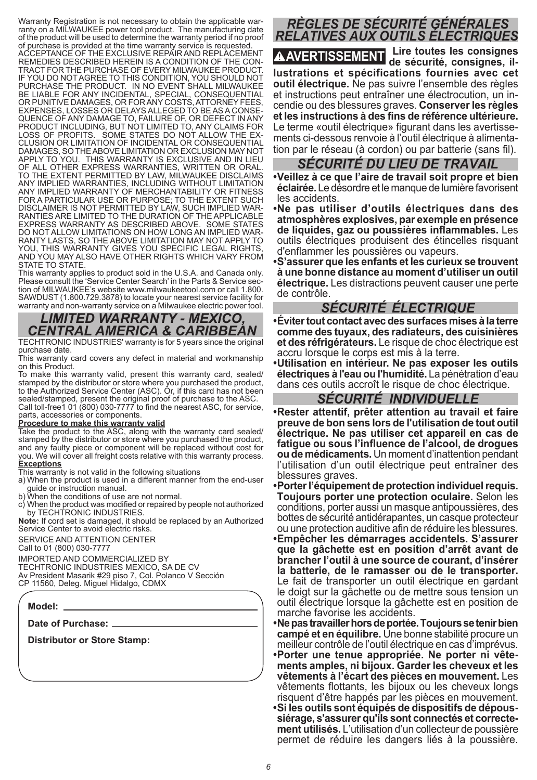Warranty Registration is not necessary to obtain the applicable war-ranty on a MILWAUKEE power tool product. The manufacturing date of the product will be used to determine the warranty period if no proof of purchase is provided at the time warranty service is requested. ACCEPTANCE OF THE EXCLUSIVE REPAIR AND REPLACEMENT REMEDIES DESCRIBED HEREIN IS A CONDITION OF THE CON-TRACT FOR THE PURCHASE OF EVERY MILWAUKEE PRODUCT. IF YOU DO NOT AGREE TO THIS CONDITION, YOU SHOULD NOT PURCHASE THE PRODUCT. IN NO EVENT SHALL MILWAUKEE BE LIABLE FOR ANY INCIDENTAL, SPECIAL, CONSEQUENTIAL OR PUNITIVE DAMAGES, OR FOR ANY COSTS, ATTORNEY FEES, EXPENSES, LOSSES OR DELAYS ALLEGED TO BE AS A CONSE-QUENCE OF ANY DAMAGE TO, FAILURE OF, OR DEFECT IN ANY PRODUCT INCLUDING, BUT NOT LIMITED TO, ANY CLAIMS FOR SOME STATES DO NOT ALLOW THE EX-CLUSION OR LIMITATION OF INCIDENTAL OR CONSEQUENTIAL DAMAGES, SO THE ABOVE LIMITATION OR EXCLUSION MAY NOT APPLY TO YOU. THIS WARRANTY IS EXCLUSIVE AND IN LIEU OF ALL OTHER EXPRESS WARRANTIES, WRITTEN OR ORAL. TO THE EXTENT PERMITTED BY LAW, MILWAUKEE DISCLAIMS ANY IMPLIED WARRANTIES, INCLUDING WITHOUT LIMITATION ANY IMPLIED WARRANTY OF MERCHANTABILITY OR FITNESS FOR A PARTICULAR USE OR PURPOSE; TO THE EXTENT SUCH DISCLAIMER IS NOT PERMITTED BY LAW, SUCH IMPLIED WAR-RANTIES ARE LIMITED TO THE DURATION OF THE APPLICABLE EXPRESS WARRANTY AS DESCRIBED ABOVE. SOME STATES DO NOT ALLOW LIMITATIONS ON HOW LONG AN IMPLIED WAR-RANTY LASTS, SO THE ABOVE LIMITATION MAY NOT APPLY TO YOU, THIS WARRANTY GIVES YOU SPECIFIC LEGAL RIGHTS. AND YOU MAY ALSO HAVE OTHER RIGHTS WHICH VARY FROM STATE TO STATE.

This warranty applies to product sold in the U.S.A. and Canada only. Please consult the 'Service Center Search' in the Parts & Service section of MILWAUKEE's website www.milwaukeetool.com or call 1.800. SAWDUST (1.800.729.3878) to locate your nearest service facility for warranty and non-warranty service on a Milwaukee electric power tool.

#### *LIMITED WARRANTY - MEXICO, CENTRAL AMERICA & CARIBBEAN*

TECHTRONIC INDUSTRIES' warranty is for 5 years since the original purchase date

This warranty card covers any defect in material and workmanship on this Product.

To make this warranty valid, present this warranty card, sealed/ stamped by the distributor or store where you purchased the product, to the Authorized Service Center (ASC). Or, if this card has not been sealed/stamped, present the original proof of purchase to the ASC.

Call toll-free1 01 (800) 030-7777 to find the nearest ASC, for service, parts, accessories or components.

#### **Procedure to make this warranty valid**

Take the product to the ASC, along with the warranty card sealed/ stamped by the distributor or store where you purchased the product, and any faulty piece or component will be replaced without cost for you. We will cover all freight costs relative with this warranty process. **Exceptions**

This warranty is not valid in the following situations

a) When the product is used in a different manner from the end-user quide or instruction manual.<br>b) When the conditions of use are not normal.

c) When the product was modified or repaired by people not authorized by TECHTRONIC INDUSTRIES.

**Note:** If cord set is damaged, it should be replaced by an Authorized Service Center to avoid electric risks.

SERVICE AND ATTENTION CENTER Call to 01 (800) 030-7777

IMPORTED AND COMMERCIALIZED BY

TECHTRONIC INDUSTRIES MEXICO, SA DE CV Av President Masarik #29 piso 7, Col. Polanco V Sección

CP 11560, Deleg. Miguel Hidalgo, CDMX

**Model:**

**Date of Purchase:**

**Distributor or Store Stamp:**

# *RÈGLES DE SÉCURITÉ GÉNÉRALES RELATIVES AUX OUTILS ÉLECTRIQUES*

**AVERTISSEMENT Lire toutes les consignes de sécurité, consignes, illustrations et spécifications fournies avec cet outil électrique.** Ne pas suivre l'ensemble des règles et instructions peut entraîner une électrocution, un incendie ou des blessures graves. **Conserver les règles et les instructions à des fins de référence ultérieure.**  Le terme «outil électrique» figurant dans les avertissements ci-dessous renvoie à l'outil électrique à alimentation par le réseau (à cordon) ou par batterie (sans fil).

#### *SÉCURITÉ DU LIEU DE TRAVAIL*

**•Veillez à ce que l'aire de travail soit propre et bien éclairée.** Le désordre et le manque de lumière favorisent les accidents.

**•Ne pas utiliser d'outils électriques dans des atmosphères explosives, par exemple en présence de liquides, gaz ou poussières inflammables.** Les outils électriques produisent des étincelles risquant d'enflammer les poussières ou vapeurs.

**•S'assurer que les enfants et les curieux se trouvent à une bonne distance au moment d'utiliser un outil électrique.** Les distractions peuvent causer une perte de contrôle.

#### *SÉCURITÉ ÉLECTRIQUE*

**•Éviter tout contact avec des surfaces mises à la terre comme des tuyaux, des radiateurs, des cuisinières et des réfrigérateurs.** Le risque de choc électrique est accru lorsque le corps est mis à la terre.

**•Utilisation en intérieur. Ne pas exposer les outils électriques à l'eau ou l'humidité.** La pénétration d'eau dans ces outils accroît le risque de choc électrique.

#### *SÉCURITÉ INDIVIDUELLE*

**•Rester attentif, prêter attention au travail et faire preuve de bon sens lors de l'utilisation de tout outil électrique. Ne pas utiliser cet appareil en cas de fatigue ou sous l'influence de l'alcool, de drogues ou de médicaments.** Un moment d'inattention pendant l'utilisation d'un outil électrique peut entraîner des blessures graves.

**•Porter l'équipement de protection individuel requis. Toujours porter une protection oculaire.** Selon les conditions, porter aussi un masque antipoussières, des bottes de sécurité antidérapantes, un casque protecteur ou une protection auditive afin de réduire les blessures.

**•Empêcher les démarrages accidentels. S'assurer que la gâchette est en position d'arrêt avant de brancher l'outil à une source de courant, d'insérer la batterie, de le ramasser ou de le transporter.**  Le fait de transporter un outil électrique en gardant le doigt sur la gâchette ou de mettre sous tension un outil électrique lorsque la gâchette est en position de marche favorise les accidents.

**•Ne pas travailler hors de portée. Toujours se tenir bien campé et en équilibre.** Une bonne stabilité procure un meilleur contrôle de l'outil électrique en cas d'imprévus.

**•Porter une tenue appropriée. Ne porter ni vête ments amples, ni bijoux. Garder les cheveux et les vêtements à l'écart des pièces en mouvement.** Les vêtements flottants, les bijoux ou les cheveux longs risquent d'être happés par les pièces en mouvement. **•Si les outils sont équipés de dispositifs de dépous- siérage, s'assurer qu'ils sont connectés et correcte-**

**ment utilisés.** L'utilisation d'un collecteur de poussière permet de réduire les dangers liés à la poussière.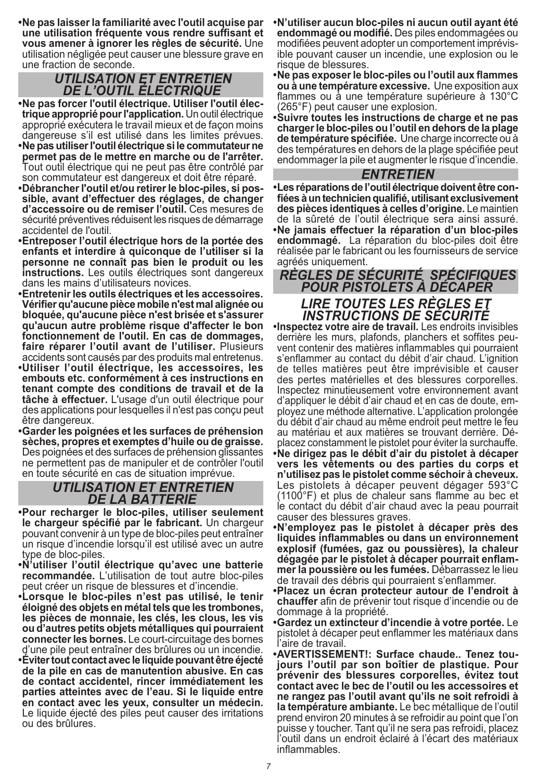**•Ne pas laisser la familiarité avec l'outil acquise par une utilisation fréquente vous rendre suffisant et vous amener à ignorer les règles de sécurité.** Une utilisation négligée peut causer une blessure grave en une fraction de seconde.

# *UTILISATION ET ENTRETIEN DE L'OUTIL ÉLECTRIQUE*

- **trique approprié pour l'application. Un outil électrique** approprié exécutera le travail mieux et de façon moins dangereuse s'il est utilisé dans les limites prévues.
- **•Ne pas utiliser l'outil électrique si le commutateur ne permet pas de le mettre en marche ou de l'arrêter.**  Tout outil électrique qui ne peut pas être contrôlé par son commutateur est dangereux et doit être réparé.
- **•Débrancher l'outil et/ou retirer le bloc-piles, si pos sible, avant d'effectuer des réglages, de changer d'accessoire ou de remiser l'outil.** Ces mesures de sécurité préventives réduisent les risques de démarrage accidentel de l'outil.
- **•Entreposer l'outil électrique hors de la portée des enfants et interdire à quiconque de l'utiliser si la personne ne connaît pas bien le produit ou les instructions.** Les outils électriques sont dangereux dans les mains d'utilisateurs novices.
- **•Entretenir les outils électriques et les accessoires. Vérifier qu'aucune pièce mobile n'est mal alignée ou bloquée, qu'aucune pièce n'est brisée et s'assurer qu'aucun autre problème risque d'affecter le bon fonctionnement de l'outil. En cas de dommages, faire réparer l'outil avant de l'utiliser.** Plusieurs accidents sont causés par des produits mal entretenus.
- **•Utiliser l'outil électrique, les accessoires, les embouts etc. conformément à ces instructions en tenant compte des conditions de travail et de la tâche à effectuer.** L'usage d'un outil électrique pour des applications pour lesquelles il n'est pas conçu peut être dangereux.
- **•Garder les poignées et les surfaces de préhension sèches, propres et exemptes d'huile ou de graisse.**  Des poignées et des surfaces de préhension glissantes ne permettent pas de manipuler et de contrôler l'outil en toute sécurité en cas de situation imprévue.

#### *UTILISATION ET ENTRETIEN DE LA BATTERIE*

- **•Pour recharger le bloc-piles, utiliser seulement le chargeur spécifié par le fabricant.** Un chargeur pouvant convenir à un type de bloc-piles peut entraîner un risque d'incendie lorsqu'il est utilisé avec un autre type de bloc-piles.
- **•N'utiliser l'outil électrique qu'avec une batterie recommandée.** L'utilisation de tout autre bloc-piles peut créer un risque de blessures et d'incendie.
- **•Lorsque le bloc-piles n'est pas utilisé, le tenir éloigné des objets en métal tels que les trombones, les pièces de monnaie, les clés, les clous, les vis ou d'autres petits objets métalliques qui pourraient connecter les bornes.** Le court-circuitage des bornes d'une pile peut entraîner des brûlures ou un incendie.
- **•Éviter tout contact avec le liquide pouvant être éjecté de la pile en cas de manutention abusive. En cas de contact accidentel, rincer immédiatement les parties atteintes avec de l'eau. Si le liquide entre en contact avec les yeux, consulter un médecin.**  Le liquide éjecté des piles peut causer des irritations ou des brûlures.
- **•N'utiliser aucun bloc-piles ni aucun outil ayant été endommagé ou modifié.** Des piles endommagées ou modifiées peuvent adopter un comportement imprévis ible pouvant causer un incendie, une explosion ou le risque de blessures.
- **•Ne pas exposer le bloc-piles ou l'outil aux flammes ou à une température excessive.** Une exposition aux flammes ou à une température supérieure à 130°C (265°F) peut causer une explosion.
- **•Suivre toutes les instructions de charge et ne pas charger le bloc-piles ou l'outil en dehors de la plage de température spécifiée.** Une charge incorrecte ou à des températures en dehors de la plage spécifiée peut endommager la pile et augmenter le risque d'incendie.

### *ENTRETIEN*

**•Les réparations de l'outil électrique doivent être con fiées à un technicien qualifié, utilisant exclusivement des pièces identiques à celles d'origine.** Le maintien de la sûreté de l'outil électrique sera ainsi assuré. **•Ne jamais effectuer la réparation d'un bloc-piles endommagé.** La réparation du bloc-piles doit être réalisée par le fabricant ou les fournisseurs de service agréés uniquement.

# *RÈGLES DE SÉCURITÉ SPÉCIFIQUES POUR PISTOLETS À DÉCAPER LIRE TOUTES LES RÈGLES ET INSTRUCTIONS DE SÉCURITÉ* **•Inspectez votre aire de travail.** Les endroits invisibles

derrière les murs, plafonds, planchers et soffites peu-<br>vent contenir des matières inflammables qui pourraient s'enflammer au contact du débit d'air chaud. L'ignition de telles matières peut être imprévisible et causer des pertes matérielles et des blessures corporelles. Inspectez minutieusement votre environnement avant d'appliquer le débit d'air chaud et en cas de doute, em ployez une méthode alternative. L'application prolongée du débit d'air chaud au même endroit peut mettre le feu au matériau et aux matières se trouvant derrière. Dé placez constamment le pistolet pour éviter la surchauffe. **•Ne dirigez pas le débit d'air du pistolet à décaper vers les vêtements ou des parties du corps et n'utilisez pas le pistolet comme séchoir à cheveux.**  Les pistolets à décaper peuvent dégager 593°C (1100°F) et plus de chaleur sans flamme au bec et le contact du débit d'air chaud avec la peau pourrait causer des blessures graves.

- **•N'employez pas le pistolet à décaper près des liquides inflammables ou dans un environnement explosif (fumées, gaz ou poussières), la chaleur dégagée par le pistolet à décaper pourrait enflam mer la poussière ou les fumées.** Débarrassez le lieu de travail des débris qui pourraient s'enflammer.
- **•Placez un écran protecteur autour de l'endroit à chauffer** afin de prévenir tout risque d'incendie ou de dommage à la propriété.
- **•Gardez un extincteur d'incendie à votre portée.** Le pistolet à décaper peut enflammer les matériaux dans l'aire de travail.
- **•AVERTISSEMENT!: Surface chaude.. Tenez tou jours l'outil par son boîtier de plastique. Pour prévenir des blessures corporelles, évitez tout contact avec le bec de l'outil ou les accessoires et ne rangez pas l'outil avant qu'ils ne soit refroidi à la température ambiante.** Le bec métallique de l'outil prend environ 20 minutes à se refroidir au point que l'on puisse y toucher. Tant qu'il ne sera pas refroidi, placez l'outil dans un endroit éclairé à l'écart des matériaux inflammables.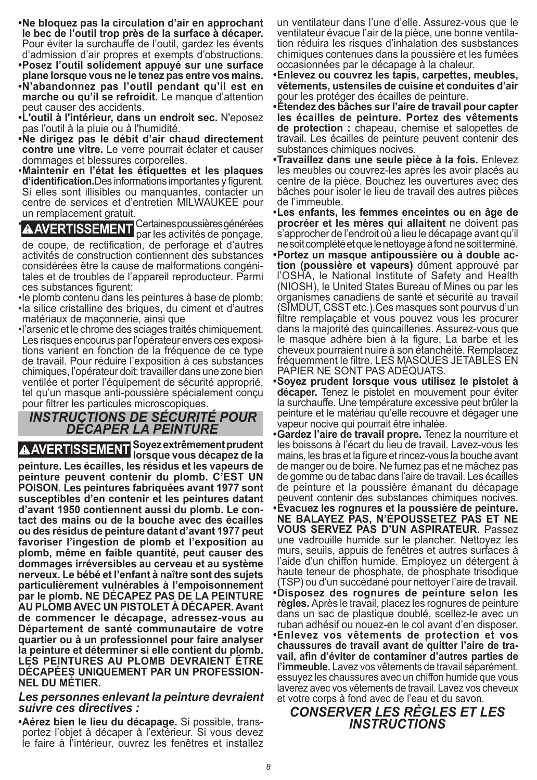- **•Ne bloquez pas la circulation d'air en approchant le bec de l'outil trop près de la surface à décaper.** Pour éviter la surchauffe de l'outil, gardez les évents d'admission d'air propres et exempts d'obstructions.
- **•Posez l'outil solidement appuyé sur une surface plane lorsque vous ne le tenez pas entre vos mains.**
- **•N'abandonnez pas l'outil pendant qu'il est en marche ou qu'il se refroidit.** Le manque d'attention peut causer des accidents.
- **•L'outil à l'intérieur, dans un endroit sec.** N'eposez pas l'outil à la pluie ou à l'humidité.
- **•Ne dirigez pas le débit d'air chaud directement contre une vitre.** Le verre pourrait éclater et causer dommages et blessures corporelles.
- •**Maintenir en l'état les étiquettes et les plaques d'identification.**Des informations importantes y figurent. Si elles sont illisibles ou manquantes, contacter un centre de services et d'entretien MILWAUKEE pour un remplacement gratuit.

**A AVERTISSEMENT**<br>
par les activités de ponçage, de coupe, de rectification, de perforage et d'autres activités de construction contiennent des substances

considérées être la cause de malformations congéni tales et de troubles de l'appareil reproducteur. Parmi ces substances figurent:

•le plomb contenu dans les peintures à base de plomb;

- •la silice cristalline des briques, du ciment et d'autres matériaux de maçonnerie, ainsi que
- •l'arsenic et le chrome des sciages traités chimiquement. Les risques encourus par l'opérateur envers ces exposi tions varient en fonction de la fréquence de ce type de travail. Pour réduire l'exposition à ces substances chimiques, l'opérateur doit: travailler dans une zone bien ventilée et porter l'équipement de sécurité approprié, tel qu'un masque anti-poussière spécialement conçu pour filtrer les particules microscopiques.

## *INSTRUCTIONS DE SÉCURITÉ POUR DÉCAPER LA PEINTURE*

**AVERTISSEMENT Soyez extrêmement prudent lorsque vous décapez de la peinture. Les écailles, les résidus et les vapeurs de peinture peuvent contenir du plomb. C'EST UN POISON. Les peintures fabriquées avant 1977 sont susceptibles d'en contenir et les peintures datant d'avant 1950 contiennent aussi du plomb. Le contact des mains ou de la bouche avec des écailles ou des résidus de peinture datant d'avant 1977 peut favoriser l'ingestion de plomb et l'exposition au plomb, même en faible quantité, peut causer des dommages irréversibles au cerveau et au système nerveux. Le bébé et l'enfant à naître sont des sujets particulièrement vulnérables à l'empoisonnement par le plomb. NE DÉCAPEZ PAS DE LA PEINTURE AU PLOMB AVEC UN PISTOLET À DÉCAPER. Avant de commencer le décapage, adressez-vous au Département de santé communautaire de votre quartier ou à un professionnel pour faire analyser la peinture et déterminer si elle contient du plomb. LES PEINTURES AU PLOMB DEVRAIENT ÊTRE DÉCAPÉES UNIQUEMENT PAR UN PROFESSION-NEL DU MÉTIER.**

#### *Les personnes enlevant la peinture devraient suivre ces directives :*

**•Aérez bien le lieu du décapage.** Si possible, trans portez l'objet à décaper à l'extérieur. Si vous devez le faire à l'intérieur, ouvrez les fenêtres et installez un ventilateur dans l'une d'elle. Assurez-vous que le ventilateur évacue l'air de la pièce, une bonne ventila tion réduira les risques d'inhalation des susbstances chimiques contenues dans la poussière et les fumées occasionnées par le décapage à la chaleur.

**•Enlevez ou couvrez les tapis, carpettes, meubles, vêtements, ustensiles de cuisine et conduites d'air**

pour les protéger des écailles de peinture. **•Étendez des bâches sur l'aire de travail pour capter les écailles de peinture. Portez des vêtements de protection :** chapeau, chemise et salopettes de travail. Les écailles de peinture peuvent contenir des substances chimiques nocives.

- **•Travaillez dans une seule pièce à la fois.** Enlevez les meubles ou couvrez-les après les avoir placés au centre de la pièce. Bouchez les ouvertures avec des bâches pour isoler le lieu de travail des autres pièces de l'immeuble.
- **•Les enfants, les femmes enceintes ou en âge de procréer et les mères qui allaitent** ne doivent pas s'approcher de l'endroit où a lieu le décapage avant qu'il ne soit complété et que le nettoyage à fond ne soit terminé.
- **•Portez un masque antipoussière ou à double ac tion (poussière et vapeurs)** dûment approuvé par l'OSHA, le National Institute of Safety and Health (NIOSH), le United States Bureau of Mines ou par les organismes canadiens de santé et sécurité au travail (SIMDUT, CSST etc.).Ces masques sont pourvus d'un filtre remplaçable et vous pouvez vous les procurer dans la majorité des quincailleries. Assurez-vous que le masque adhère bien à la figure, La barbe et les cheveux pourraient nuire à son étanchéité. Remplacez fréquemment le filtre. LES MASQUES JETABLES EN PAPIER NE SONT PAS ADÉQUATS.
- **•Soyez prudent lorsque vous utilisez le pistolet à décaper.** Tenez le pistolet en mouvement pour éviter la surchauffe. Une température excessive peut brûler la peinture et le matériau qu'elle recouvre et dégager une vapeur nocive qui pourrait être inhalée.
- **•Gardez l'aire de travail propre.** Tenez la nourriture et les boissons à l'écart du lieu de travail. Lavez-vous les mains, les bras et la figure et rincez-vous la bouche avant de manger ou de boire. Ne fumez pas et ne mâchez pas de gomme ou de tabac dans l'aire de travail. Les écailles de peinture et la poussière émanant du décapage peuvent contenir des substances chimiques nocives.
- **•Évacuez les rognures et la poussière de peinture. NE BALAYEZ PAS, N'ÉPOUSSETEZ PAS ET NE VOUS SERVEZ PAS D'UN ASPIRATEUR.** Passez une vadrouille humide sur le plancher. Nettoyez les murs, seuils, appuis de fenêtres et autres surfaces à l'aide d'un chiffon humide. Employez un détergent à haute teneur de phosphate, de phosphate trisodique
- (TSP) ou d'un succédané pour nettoyer l'aire de travail. **•Disposez des rognures de peinture selon les règles.** Après le travail, placez les rognures de peinture dans un sac de plastique doublé, scellez-le avec un ruban adhésif ou nouez-en le col avant d'en disposer. **•Enlevez vos vêtements de protection et vos chaussures de travail avant de quitter l'aire de tra vail, afin d'éviter de contaminer d'autres parties de l'immeuble.** Lavez vos vêtements de travail séparément. essuyez les chaussures avec un chiffon humide que vous laverez avec vos vêtements de travail. Lavez vos cheveux et votre corps à fond avec de l'eau et du savon.

#### *CONSERVER LES RÈGLES ET LES INSTRUCTIONS*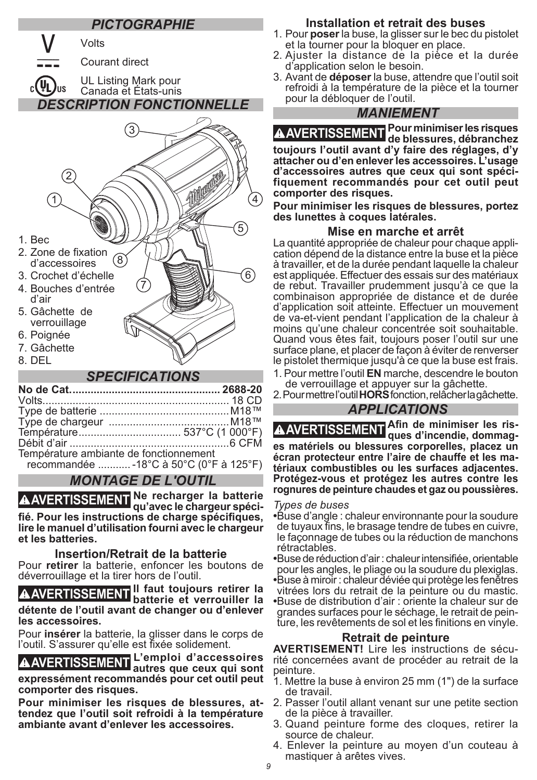### *PICTOGRAPHIE*



#### *SPECIFICATIONS*

| Température ambiante de fonctionnement   |  |
|------------------------------------------|--|
| recommandée  - 18°C à 50°C (0°F à 125°F) |  |

#### *MONTAGE DE L'OUTIL*

**AVERTISSEMENT Ne recharger la batterie qu'avec le chargeur spécifié. Pour les instructions de charge spécifiques, lire le manuel d'utilisation fourni avec le chargeur et les batteries.** 

#### **Insertion/Retrait de la batterie**

Pour **retirer** la batterie, enfoncer les boutons de déverrouillage et la tirer hors de l'outil.

**AVERTISSEMENT Il faut toujours retirer la batterie et verrouiller la détente de l'outil avant de changer ou d'enlever les accessoires.** 

Pour **insérer** la batterie, la glisser dans le corps de l'outil. S'assurer qu'elle est fixée solidement.

**AVERTISSEMENT L'emploi d'accessoires autres que ceux qui sont expressément recommandés pour cet outil peut comporter des risques.**

**Pour minimiser les risques de blessures, attendez que l'outil soit refroidi à la température ambiante avant d'enlever les accessoires.**

#### **Installation et retrait des buses**

- 1. Pour **poser** la buse, la glisser sur le bec du pistolet et la tourner pour la bloquer en place.
- 2. Ajuster la distance de la pièce et la durée d'application selon le besoin.
- 3. Avant de **déposer** la buse, attendre que l'outil soit refroidi à la température de la pièce et la tourner pour la débloquer de l'outil.

#### *MANIEMENT*

**AVERTISSEMENT Pour minimiser les risques de blessures, débranchez toujours l'outil avant d'y faire des réglages, d'y attacher ou d'en enlever les accessoires. L'usage d'accessoires autres que ceux qui sont spécifiquement recommandés pour cet outil peut comporter des risques.** 

**Pour minimiser les risques de blessures, portez des lunettes à coques latérales.**

**Mise en marche et arrêt**<br>La quantité appropriée de chaleur pour chaque application dépend de la distance entre la buse et la pièce à travailler, et de la durée pendant laquelle la chaleur est appliquée. Effectuer des essais sur des matériaux de rebut. Travailler prudemment jusqu'à ce que la combinaison appropriée de distance et de durée d'application soit atteinte. Effectuer un mouvement de va-et-vient pendant l'application de la chaleur à moins qu'une chaleur concentrée soit souhaitable. Quand vous êtes fait, toujours poser l'outil sur une surface plane, et placer de façon à éviter de renverser le pistolet thermique jusqu'à ce que la buse est frais.

1. Pour mettre l'outil **EN** marche, descendre le bouton de verrouillage et appuyer sur la gâchette.

2. Pour mettre l'outil **HORS** fonction, relâcher la gâchette.

#### *APPLICATIONS*

**AVERTISSEMENT <sup>A</sup>fin de minimiser les ris- ques d'incendie, dommages matériels ou blessures corporelles, placez un écran protecteur entre l'aire de chauffe et les matériaux combustibles ou les surfaces adjacentes. Protégez-vous et protégez les autres contre les rognures de peinture chaudes et gaz ou poussières.**

#### *Types de buses*

**•**Buse d'angle : chaleur environnante pour la soudure de tuyaux fins, le brasage tendre de tubes en cuivre, le façonnage de tubes ou la réduction de manchons rétractables.

**•**Buse de réduction d'air : chaleur intensifiée, orientable pour les angles, le pliage ou la soudure du plexiglas.

**•**Buse à miroir : chaleur déviée qui protège les fenêtres vitrées lors du retrait de la peinture ou du mastic. **•**Buse de distribution d'air : oriente la chaleur sur de ture, les revêtements de sol et les finitions en vinyle.

#### **Retrait de peinture**

**AVERTISEMENT!** Lire les instructions de sécu- rité concernées avant de procéder au retrait de la peinture.

- 1. Mettre la buse à environ 25 mm (1") de la surface de travail.
- 2. Passer l'outil allant venant sur une petite section de la pièce à travailler.
- 3. Quand peinture forme des cloques, retirer la source de chaleur.
- 4. Enlever la peinture au moyen d'un couteau à mastiquer à arêtes vives.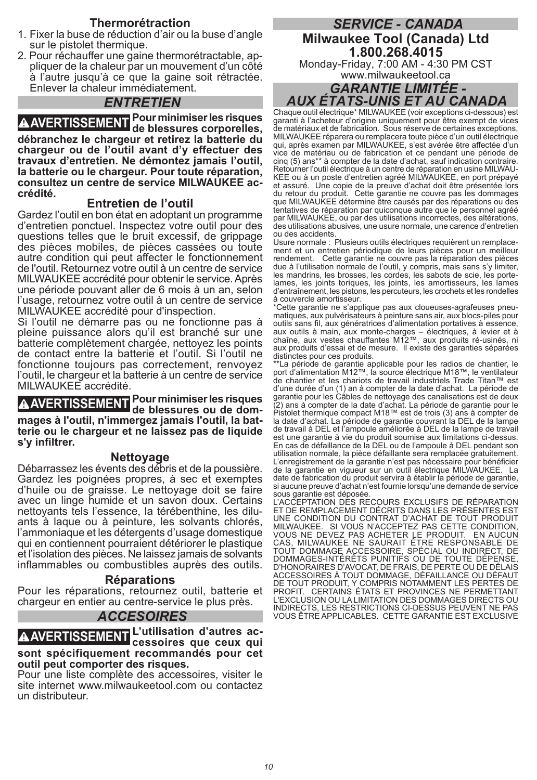#### **Thermorétraction**

- 1. Fixer la buse de réduction d'air ou la buse d'angle sur le pistolet thermique.<br>2. Pour réchauffer une gaine thermorétractable, ap-
- pliquer de la chaleur par un mouvement d'un côté à l'autre jusqu'à ce que la gaine soit rétractée. Enlever la chaleur immédiatement.

#### *ENTRETIEN*

**AVERTISSEMENT Pour minimiser les risques de blessures corporelles, débranchez le chargeur et retirez la batterie du chargeur ou de l'outil avant d'y effectuer des travaux d'entretien. Ne démontez jamais l'outil, la batterie ou le chargeur. Pour toute réparation, consultez un centre de service MILWAUKEE accrédité.**

#### **Entretien de l'outil**

Gardez l'outil en bon état en adoptant un programme d'entretien ponctuel. Inspectez votre outil pour des questions telles que le bruit excessif, de grippage des pièces mobiles, de pièces cassées ou toute autre condition qui peut affecter le fonctionnement de l'outil. Retournez votre outil à un centre de service MILWAUKEE accrédité pour obtenir le service. Après une période pouvant aller de 6 mois à un an, selon l'usage, retournez votre outil à un centre de service MILWAUKEE accrédité pour d'inspection.

Si l'outil ne démarre pas ou ne fonctionne pas à pleine puissance alors qu'il est branché sur une batterie complètement chargée, nettoyez les points de contact entre la batterie et l'outil. Si l'outil ne fonctionne toujours pas correctement, renvoyez l'outil, le chargeur et la batterie à un centre de service MILWAUKEE accrédité.

#### **AVERTISSEMENT Pour minimiser les risques de blessures ou de dommages à l'outil, n'immergez jamais l'outil, la batterie ou le chargeur et ne laissez pas de liquide s'y infiltrer.**

#### **Nettoyage**

Débarrassez les évents des débris et de la poussière. Gardez les poignées propres, à sec et exemptes d'huile ou de graisse. Le nettoyage doit se faire avec un linge humide et un savon doux. Certains ants à laque ou à peinture, les solvants chlorés, l'ammoniaque et les détergents d'usage domestique qui en contiennent pourraient détériorer le plastique et l'isolation des pièces. Ne laissez jamais de solvants inflammables ou combustibles auprès des outils.

#### **Réparations**

Pour les réparations, retournez outil, batterie et chargeur en entier au centre-service le plus près.

#### *ACCESOIRES*

#### **AVERTISSEMENT L'utilisation d'autres ac-cessoires que ceux qui sont spécifiquement recommandés pour cet outil peut comporter des risques.**

Pour une liste complète des accessoires, visiter le site internet www.milwaukeetool.com ou contactez un distributeur.

#### *SERVICE - CANADA* **Milwaukee Tool (Canada) Ltd 1.800.268.4015** Monday-Friday, 7:00 AM - 4:30 PM CST

www.milwaukeetool.ca

## *GARANTIE LIMITÉE - AUX ÉTATS-UNIS ET AU CANADA*

Chaque outil électrique\* MILWAUKEE (voir exceptions ci-dessous) est garanti à l'acheteur d'origine uniquement pour être exempt de vices de matériaux et de fabrication. Sous réserve de certaines exceptions, MILWAUKEE réparera ou remplacera toute pièce d'un outil électrique qui, après examen par MILWAUKEE, s'est avérée être affectée d'un vice de matériau ou de fabrication et ce pendant une période de cinq (5) ans\*\* à compter de la date d'achat, sauf indication contraire. Retourner l'outil électrique à un centre de réparation en usine MILWAU-KEE ou à un poste d'entretien agréé MILWAUKEE, en port prépayé et assuré. Une copie de la preuve d'achat doit être présentée lors du retour du produit. Cette garantie ne couvre pas les dommages que MILWAUKEE détermine être causés par des réparations ou des tentatives de réparation par quiconque autre que le personnel agréé par MILWAUKEE, ou par des utilisations incorrectes, des altérations, des utilisations abusives, une usure normale, une carence d'entretien ou des accidents.

Usure normale : Plusieurs outils électriques requièrent un remplacement et un entretien périodique de leurs pièces pour un meilleur rendement. Cette garantie ne couvre pas la réparation des pièces due à l'utilisation normale de l'outil, y compris, mais sans s'y limiter, les mandrins, les brosses, les cordes, les sabots de scie, les portelames, les joints toriques, les joints, les amortisseurs, les lames d'entraînement, les pistons, les percuteurs, les crochets et les rondelles à couvercle amortisseur.

\*Cette garantie ne s'applique pas aux cloueuses-agrafeuses pneumatiques, aux pulvérisateurs à peinture sans air, aux blocs-piles pour outils sans fil, aux génératrices d'alimentation portatives à essence, aux outils à main, aux monte-charges – électriques, à levier et à chaîne, aux vestes chauffantes M12™, aux produits ré-usinés, ni aux produits d'essai et de mesure. Il existe des garanties séparées distinctes pour ces produits.

\*\*La période de garantie applicable pour les radios de chantier, le port d'alimentation M12™, la source électrique M18™, le ventilateur de chantier et les chariots de travail industriels Trade Titan™ est d'une durée d'un (1) an à compter de la date d'achat. La période de<br>garantie pour les Câbles de nettoyage des canalisations est de deux<br>(2) ans à compter de la date d'achat. La période de garantie pour le<br>Pistolet thermi la date d'achat. La période de garantie couvrant la DEL de la lampe de travail à DEL et l'ampoule améliorée à DEL de la lampe de travail est une garantie à vie du produit soumise aux limitations ci-dessus. En cas de défaillance de la DEL ou de l'ampoule à DEL pendant son utilisation normale, la pièce défaillante sera remplacée gratuitement. L'enregistrement de la garantie n'est pas nécessaire pour bénéficier de la garantie en vigueur sur un outil électrique MILWAUKEE. La date de fabrication du produit servira à établir la période de garantie, si aucune preuve d'achat n'est fournie lorsqu'une demande de service sous garantie est déposée.

L'ACCEPTATION DES RECOURS EXCLUSIFS DE RÉPARATION ET DE REMPLACEMENT DÉCRITS DANS LES PRÉSENTES EST UNE CONDITION DU CONTRAT D'ACHAT DE TOUT PRODUIT MILWAUKEE. SI VOUS N'ACCEPTEZ PAS CETTE CONDITION, VOUS NE DEVEZ PAS ACHETER LE PRODUIT. EN AUCUN CAS, MILWAUKEE NE SAURAIT ÊTRE RESPONSABLE DE TOUT DOMMAGE ACCESSOIRE, SPÉCIAL OU INDIRECT, DE DOMMAGES-INTÉRÊTS PUNITIFS OU DE TOUTE DÉPENSE, D'HONORAIRES D'AVOCAT, DE FRAIS, DE PERTE OU DE DÉLAIS ACCESSOIRES À TOUT DOMMAGE, DÉFAILLANCE OU DÉFAUT DE TOUT PRODUIT, Y COMPRIS NOTAMMENT LES PERTES DE PROFIT. CERTAINS ÉTATS ET PROVINCES NE PERMETTANT L'EXCLUSION OU LA LIMITATION DES DOMMAGES DIRECTS OU INDIRECTS, LES RESTRICTIONS CI-DESSUS PEUVENT NE PAS VOUS ÊTRE APPLICABLES. CETTE GARANTIE EST EXCLUSIVE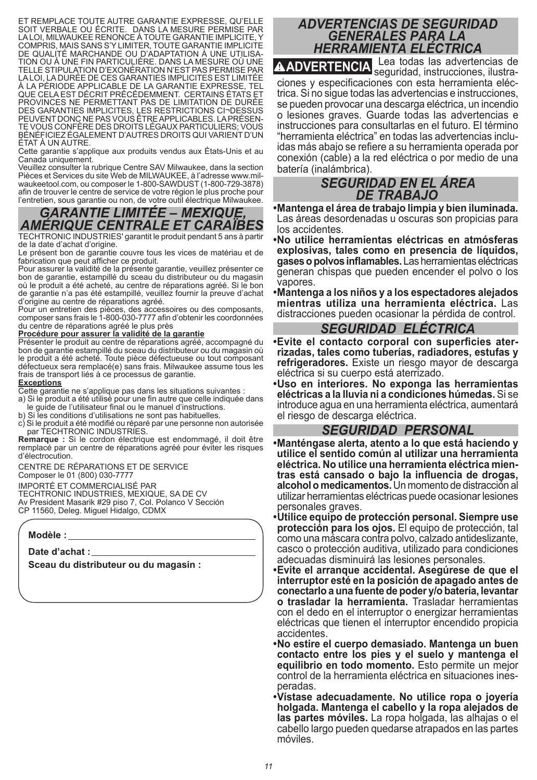ET REMPLACE TOUTE AUTRE GARANTIE EXPRESSE, QU'ELLE SOIT VERBALE OU ÉCRITE. DANS LA MESURE PERMISE PAR LA LOI, MILWAUKEE RENONCE À TOUTE GARANTIE IMPLICITE, Y COMPRIS, MAIS SANS S'Y LIMITER, TOUTE GARANTIE IMPLICITE TION OU À UNE FIN PARTICULIÈRE. DANS LA MESURE OÙ UNE TELLE STIPULATION D'EXONÉRATION N'EST PAS PERMISE PAR LA LOI, LA DURÉE DE CES GARANTIES IMPLICITES EST LIMITÉE À LA PÉRIODE APPLICABLE DE LA GARANTIE EXPRESSE, TEL QUE CELA EST DÉCRIT PRÉCÉDEMMENT. CERTAINS ÉTATS ET PROVINCES NE PERMETTANT PAS DE LIMITATION DE DURÉE DES GARANTIES IMPLICITES, LES RESTRICTIONS CI¬DESSUS<br>PEUVENT DONC NE PAS VOUS ÊTRE APPLICABLES. LA PRÉSEN-TE VOUS CONFÈRE DES DROITS LÉGAUX PARTICULIERS: VOUS BÉNÉFICIEZ ÉGALEMENT D'AUTRES DROITS QUI VARIENT D'UN ÉTAT À UN AUTRE.

Cette garantie s'applique aux produits vendus aux États-Unis et au Canada uniquement.

Veuillez consulter la rubrique Centre SAV Milwaukee, dans la section waukeetool.com, ou composer le 1-800-SAWDUST (1-800-729-3878) afin de trouver le centre de service de votre région le plus proche pour l'entretien, sous garantie ou non, de votre outil électrique Milwaukee.

# *GARANTIE LIMITÉE – MEXIQUE, AMÉRIQUE CENTRALE ET CARAÏBES*

TECHTRONIC INDUSTRIES' garantit le produit pendant 5 ans à partir de la date d'achat d'origine.

Le présent bon de garantie couvre tous les vices de matériau et de fabrication que peut afficher ce produit.

Pour assurer la validité de la présente garantie, veuillez présenter ce bon de garantie, estampillé du sceau du distributeur ou du magasin où le produit a été acheté, au centre de réparations agréé. Si le bon de garantie n'a pas été estampillé, veuillez fournir la preuve d'achat d'origine au centre de réparations agréé.

Pour un entretien des pièces, des accessoires ou des composants, composer sans frais le 1-800-030-7777 afin d'obtenir les coordonnées du centre de réparations agréé le plus près

#### **Procédure pour assurer la validité de la garantie**

Présenter le produit au centre de réparations agréé, accompagné du bon de garantie estampillé du sceau du distributeur ou du magasin où le produit a été acheté. Toute pièce défectueuse ou tout composant défectueux sera remplacé(e) sans frais. Milwaukee assume tous les frais de transport liés à ce processus de garantie.

#### **Exceptions**

Cette garantie ne s'applique pas dans les situations suivantes :

a) Si le produit a été utilisé pour une fin autre que celle indiquée dans le guide de l'utilisateur final ou le manuel d'instructions.

b) Si les conditions d'utilisations ne sont pas habituelles.

c) Si le produit a été modifié ou réparé par une personne non autorisée par TECHTRONIC INDUSTRIES.

**Remarque :** Si le cordon électrique est endommagé, il doit être remplacé par un centre de réparations agréé pour éviter les risques d'électrocution.

CENTRE DE RÉPARATIONS ET DE SERVICE Composer le 01 (800) 030-7777

IMPORTÉ ET COMMERCIALISÉ PAR

TECHTRONIC INDUSTRIES, MEXIQUE, SA DE CV Av President Masarik #29 piso 7, Col. Polanco V Sección CP 11560, Deleg. Miguel Hidalgo, CDMX

**Modèle :**

**Date d'achat :**

**Sceau du distributeur ou du magasin :**

### *ADVERTENCIAS DE SEGURIDAD GENERALES PARA LA HERRAMIENTA ELÉCTRICA*

**ADVERTENCIA** Lea todas las advertencias de seguridad, instrucciones, ilustra ciones y especificaciones con esta herramienta eléc trica. Si no sigue todas las advertencias e instrucciones, se pueden provocar una descarga eléctrica, un incendio o lesiones graves. Guarde todas las advertencias e instrucciones para consultarlas en el futuro. El término "herramienta eléctrica" en todas las advertencias inclu idas más abajo se refiere a su herramienta operada por conexión (cable) a la red eléctrica o por medio de una batería (inalámbrica).

#### *SEGURIDAD EN EL ÁREA DE TRABAJO*

**•Mantenga el área de trabajo limpia y bien iluminada.** Las áreas desordenadas u oscuras son propicias para los accidentes.

**•No utilice herramientas eléctricas en atmósferas explosivas, tales como en presencia de líquidos, gases o polvos inflamables.** Las herramientas eléctricas generan chispas que pueden encender el polvo o los vapores.

**•Mantenga a los niños y a los espectadores alejados mientras utiliza una herramienta eléctrica.** Las distracciones pueden ocasionar la pérdida de control.

#### *SEGURIDAD ELÉCTRICA*

**•Evite el contacto corporal con superficies ater rizadas, tales como tuberías, radiadores, estufas y refrigeradores.** Existe un riesgo mayor de descarga eléctrica si su cuerpo está aterrizado.

**•Uso en interiores. No exponga las herramientas eléctricas a la lluvia ni a condiciones húmedas.** Si se introduce agua en una herramienta eléctrica, aumentará el riesgo de descarga eléctrica.

#### *SEGURIDAD PERSONAL*

**•Manténgase alerta, atento a lo que está haciendo y utilice el sentido común al utilizar una herramienta eléctrica. No utilice una herramienta eléctrica mien tras está cansado o bajo la influencia de drogas, alcohol o medicamentos.** Un momento de distracción al utilizar herramientas eléctricas puede ocasionar lesiones personales graves.

**•Utilice equipo de protección personal. Siempre use protección para los ojos.** El equipo de protección, tal como una máscara contra polvo, calzado antideslizante, casco o protección auditiva, utilizado para condiciones adecuadas disminuirá las lesiones personales.

**•Evite el arranque accidental. Asegúrese de que el interruptor esté en la posición de apagado antes de conectarlo a una fuente de poder y/o batería, levantar o trasladar la herramienta.** Trasladar herramientas con el dedo en el interruptor o energizar herramientas eléctricas que tienen el interruptor encendido propicia accidentes.

**•No estire el cuerpo demasiado. Mantenga un buen contacto entre los pies y el suelo y mantenga el equilibrio en todo momento.** Esto permite un mejor control de la herramienta eléctrica en situaciones ines peradas.

**•Vístase adecuadamente. No utilice ropa o joyería holgada. Mantenga el cabello y la ropa alejados de las partes móviles.** La ropa holgada, las alhajas o el cabello largo pueden quedarse atrapados en las partes móviles.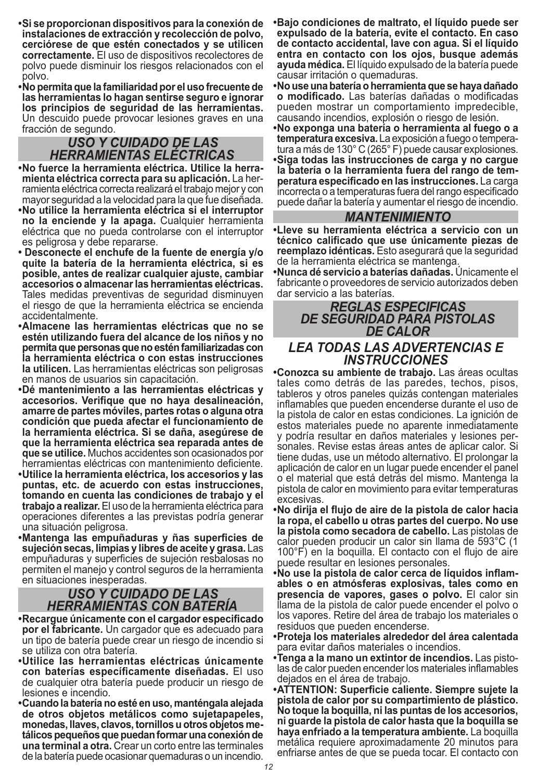- **•Si se proporcionan dispositivos para la conexión de instalaciones de extracción y recolección de polvo, cerciórese de que estén conectados y se utilicen correctamente.** El uso de dispositivos recolectores de polvo puede disminuir los riesgos relacionados con el polvo.
- **•No permita que la familiaridad por el uso frecuente de las herramientas lo hagan sentirse seguro e ignorar los principios de seguridad de las herramientas.**  Un descuido puede provocar lesiones graves en una fracción de segundo.

## *USO Y CUIDADO DE LAS HERRAMIENTAS ELÉCTRICAS*

- **•No fuerce la herramienta eléctrica. Utilice la herra mienta eléctrica correcta para su aplicación.** La her ramienta eléctrica correcta realizará el trabajo mejor y con mayor seguridad a la velocidad para la que fue diseñada.
- **•No utilice la herramienta eléctrica si el interruptor no la enciende y la apaga.** Cualquier herramienta eléctrica que no pueda controlarse con el interruptor es peligrosa y debe repararse.
- **Desconecte el enchufe de la fuente de energía y/o quite la batería de la herramienta eléctrica, si es posible, antes de realizar cualquier ajuste, cambiar accesorios o almacenar las herramientas eléctricas.** Tales medidas preventivas de seguridad disminuyen el riesgo de que la herramienta eléctrica se encienda accidentalmente.
- **•Almacene las herramientas eléctricas que no se estén utilizando fuera del alcance de los niños y no permita que personas que no estén familiarizadas con la herramienta eléctrica o con estas instrucciones la utilicen.** Las herramientas eléctricas son peligrosas en manos de usuarios sin capacitación.
- **•Dé mantenimiento a las herramientas eléctricas y accesorios. Verifique que no haya desalineación, amarre de partes móviles, partes rotas o alguna otra condición que pueda afectar el funcionamiento de la herramienta eléctrica. Si se daña, asegúrese de que la herramienta eléctrica sea reparada antes de que se utilice.** Muchos accidentes son ocasionados por herramientas eléctricas con mantenimiento deficiente.
- **•Utilice la herramienta eléctrica, los accesorios y las puntas, etc. de acuerdo con estas instrucciones, tomando en cuenta las condiciones de trabajo y el trabajo a realizar.** El uso de la herramienta eléctrica para operaciones diferentes a las previstas podría generar una situación peligrosa.
- **•Mantenga las empuñaduras y ñas superficies de sujeción secas, limpias y libres de aceite y grasa.** Las empuñaduras y superficies de sujeción resbalosas no permiten el manejo y control seguros de la herramienta en situaciones inesperadas.

# *USO Y CUIDADO DE LAS HERRAMIENTAS CON BATERÍA*

- **•Recargue únicamente con el cargador especificado por el fabricante.** Un cargador que es adecuado para un tipo de batería puede crear un riesgo de incendio si se utiliza con otra batería.
- **•Utilice las herramientas eléctricas únicamente con baterías específicamente diseñadas.** El uso de cualquier otra batería puede producir un riesgo de lesiones e incendio.
- **•Cuando la batería no esté en uso, manténgala alejada de otros objetos metálicos como sujetapapeles, monedas, llaves, clavos, tornillos u otros objetos me tálicos pequeños que puedan formar una conexión de una terminal a otra.** Crear un corto entre las terminales de la batería puede ocasionar quemaduras o un incendio.
- **•Bajo condiciones de maltrato, el líquido puede ser expulsado de la batería, evite el contacto. En caso de contacto accidental, lave con agua. Si el líquido entra en contacto con los ojos, busque además ayuda médica.** El líquido expulsado de la batería puede causar irritación o quemaduras.
- **•No use una batería o herramienta que se haya dañado o modificado.** Las baterías dañadas o modificadas pueden mostrar un comportamiento impredecible, causando incendios, explosión o riesgo de lesión.
- **•No exponga una batería o herramienta al fuego o a temperatura excesiva.** La exposición a fuego o tempera tura a más de 130° C (265° F) puede causar explosiones. **•Siga todas las instrucciones de carga y no cargue la batería o la herramienta fuera del rango de tem peratura especificado en las instrucciones.** La carga incorrecta o a temperaturas fuera del rango especificado puede dañar la batería y aumentar el riesgo de incendio.

#### *MANTENIMIENTO*

**•Lleve su herramienta eléctrica a servicio con un técnico calificado que use únicamente piezas de reemplazo idénticas.** Esto asegurará que la seguridad de la herramienta eléctrica se mantenga.

**•Nunca dé servicio a baterías dañadas.** Únicamente el fabricante o proveedores de servicio autorizados deben dar servicio a las baterías.

#### *REGLAS ESPECIFICAS DE SEGURIDAD PARA PISTOLAS DE CALOR*

#### *LEA TODAS LAS ADVERTENCIAS E INSTRUCCIONES*

**•Conozca su ambiente de trabajo.** Las áreas ocultas tales como detrás de las paredes, techos, pisos, tableros y otros paneles quizás contengan materiales inflamables que pueden encenderse durante el uso de la pistola de calor en estas condiciones. La ignición de estos materiales puede no aparente inmediatamente y podría resultar en daños materiales y lesiones per sonales. Revise estas áreas antes de aplicar calor. Si tiene dudas, use un método alternativo. El prolongar la aplicación de calor en un lugar puede encender el panel o el material que está detrás del mismo. Mantenga la pistola de calor en movimiento para evitar temperaturas excesivas.

- **•No dirija el flujo de aire de la pistola de calor hacia la ropa, el cabello u otras partes del cuerpo. No use la pistola como secadora de cabello.** Las pistolas de calor pueden producir un calor sin llama de 593°C (1 100°F) en la boquilla. El contacto con el flujo de aire puede resultar en lesiones personales.
- **•No use la pistola de calor cerca de líquidos inflam ables o en atmósferas explosivas, tales como en presencia de vapores, gases o polvo.** El calor sin llama de la pistola de calor puede encender el polvo o los vapores. Retire del área de trabajo los materiales o residuos que pueden encenderse.
- **•Proteja los materiales alrededor del área calentada**  para evitar daños materiales o incendios.
- **•Tenga a la mano un extintor de incendios.** Las pisto las de calor pueden encender los materiales inflamables dejados en el área de trabajo.
- **•ATTENTION: Superficie caliente. Siempre sujete la pistola de calor por su compartimiento de plástico. No toque la boquilla, ni las puntas de los accesorios, ni guarde la pistola de calor hasta que la boquilla se haya enfriado a la temperatura ambiente.** La boquilla metálica requiere aproximadamente 20 minutos para enfriarse antes de que se pueda tocar. El contacto con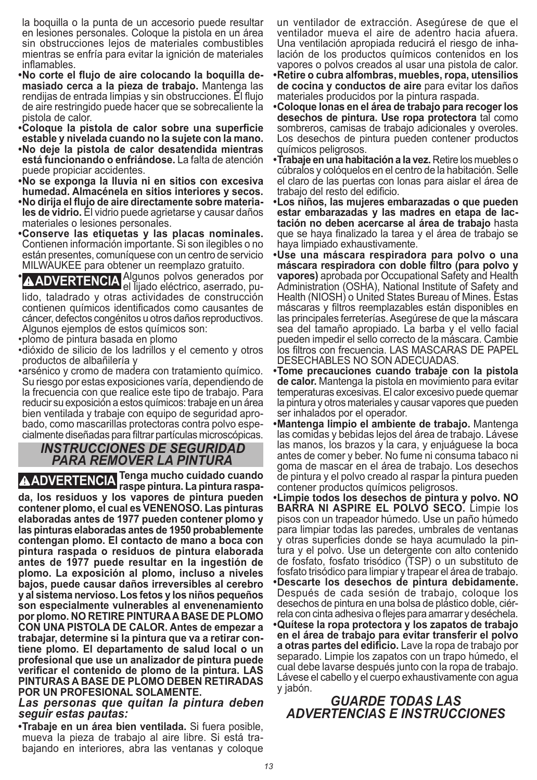la boquilla o la punta de un accesorio puede resultar en lesiones personales. Coloque la pistola en un área sin obstrucciones lejos de materiales combustibles mientras se enfría para evitar la ignición de materiales inflamables.

- **•No corte el flujo de aire colocando la boquilla de masiado cerca a la pieza de trabajo.** Mantenga las rendijas de entrada limpias y sin obstrucciones. El flujo de aire restringido puede hacer que se sobrecaliente la pistola de calor.
- **•Coloque la pistola de calor sobre una superficie estable y nivelada cuando no la sujete con la mano.**
- **•No deje la pistola de calor desatendida mientras está funcionando o enfriándose.** La falta de atención puede propiciar accidentes.
- **•No se exponga la lluvia ni en sitios con excesiva humedad. Almacénela en sitios interiores y secos.**
- **•No dirija el flujo de aire directamente sobre materia les de vidrio.** El vidrio puede agrietarse y causar daños materiales o lesiones personales.
- **•Conserve las etiquetas y las placas nominales.**  Contienen información importante. Si son ilegibles o no están presentes, comuníquese con un centro de servicio MILWAUKEE para obtener un reemplazo gratuito.

**• AADVERTENCIA** el lijado eléctrico, aserrados por **Algunos** por el igado eléctrico, aserrado, pulido, taladrado y otras actividades de construcción contienen químicos identificados como causantes de cáncer, defectos congénitos u otros daños reproductivos. Algunos ejemplos de estos químicos son:

- •plomo de pintura basada en plomo
- •dióxido de silicio de los ladrillos y el cemento y otros productos de albañilería y
- •arsénico y cromo de madera con tratamiento químico. Su riesgo por estas exposiciones varía, dependiendo de la frecuencia con que realice este tipo de trabajo. Para reducir su exposición a estos químicos: trabaje en un área bien ventilada y trabaje con equipo de seguridad apro bado, como mascarillas protectoras contra polvo espe cialmente diseñadas para filtrar partículas microscópicas.

#### *INSTRUCCIONES DE SEGURIDAD PARA REMOVER LA PINTURA*

**ADVERTENCIA Tenga mucho cuidado cuando raspe pintura. La pintura raspada, los residuos y los vapores de pintura pueden contener plomo, el cual es VENENOSO. Las pinturas elaboradas antes de 1977 pueden contener plomo y las pinturas elaboradas antes de 1950 probablemente contengan plomo. El contacto de mano a boca con pintura raspada o residuos de pintura elaborada antes de 1977 puede resultar en la ingestión de plomo. La exposición al plomo, incluso a niveles bajos, puede causar daños irreversibles al cerebro y al sistema nervioso. Los fetos y los niños pequeños son especialmente vulnerables al envenenamiento por plomo. NO RETIRE PINTURA A BASE DE PLOMO CON UNA PISTOLA DE CALOR. Antes de empezar a trabajar, determine si la pintura que va a retirar contiene plomo. El departamento de salud local o un profesional que use un analizador de pintura puede verificar el contenido de plomo de la pintura. LAS PINTURAS A BASE DE PLOMO DEBEN RETIRADAS POR UN PROFESIONAL SOLAMENTE.**

#### *Las personas que quitan la pintura deben seguir estas pautas:*

**•Trabaje en un área bien ventilada.** Si fuera posible, mueva la pieza de trabajo al aire libre. Si está tra bajando en interiores, abra las ventanas y coloque un ventilador de extracción. Asegúrese de que el ventilador mueva el aire de adentro hacia afuera. Una ventilación apropiada reducirá el riesgo de inha lación de los productos químicos contenidos en los vapores o polvos creados al usar una pistola de calor.

- **•Retire o cubra alfombras, muebles, ropa, utensilios de cocina y conductos de aire** para evitar los daños materiales producidos por la pintura raspada.
- **•Coloque lonas en el área de trabajo para recoger los desechos de pintura. Use ropa protectora** tal como sombreros, camisas de trabajo adicionales y overoles. Los desechos de pintura pueden contener productos químicos peligrosos.
- **•Trabaje en una habitación a la vez.** Retire los muebles o cúbralos y colóquelos en el centro de la habitación. Selle el claro de las puertas con lonas para aislar el área de trabajo del resto del edificio.
- **•Los niños, las mujeres embarazadas o que pueden estar embarazadas y las madres en etapa de lac tación no deben acercarse al área de trabajo** hasta que se haya finalizado la tarea y el área de trabajo se haya limpiado exhaustivamente.
- **•Use una máscara respiradora para polvo o una máscara respiradora con doble filtro (para polvo y vapores)** aprobada por Occupational Safety and Health Administration (OSHA), National Institute of Safety and Health (NIOSH) o United States Bureau of Mines. Estas máscaras y filtros reemplazables están disponibles en las principales ferreterías. Asegúrese de que la máscara sea del tamaño apropiado. La barba y el vello facial pueden impedir el sello correcto de la máscara. Cambie los filtros con frecuencia. LAS MASCARAS DE PAPEL DESECHABLES NO SON ADECUADAS.
- **•Tome precauciones cuando trabaje con la pistola de calor.** Mantenga la pistola en movimiento para evitar temperaturas excesivas. El calor excesivo puede quemar la pintura y otros materiales y causar vapores que pueden ser inhalados por el operador.
- **•Mantenga limpio el ambiente de trabajo.** Mantenga las comidas y bebidas lejos del área de trabajo. Lávese las manos, los brazos y la cara, y enjuáguese la boca antes de comer y beber. No fume ni consuma tabaco ni goma de mascar en el área de trabajo. Los desechos de pintura y el polvo creado al raspar la pintura pueden contener productos químicos peligrosos.
- **•Limpie todos los desechos de pintura y polvo. NO BARRA NI ASPIRE EL POLVO SECO.** Limpie los pisos con un trapeador húmedo. Use un paño húmedo para limpiar todas las paredes, umbrales de ventanas y otras superficies donde se haya acumulado la pin tura y el polvo. Use un detergente con alto contenido de fosfato, fosfato trisódico (TSP) o un substituto de fosfato trisódico para limpiar y trapear el área de trabajo.
- **•Descarte los desechos de pintura debidamente.**  Después de cada sesión de trabajo, coloque los desechos de pintura en una bolsa de plástico doble, ciér rela con cinta adhesiva o flejes para amarrar y deséchela.
- **•Quítese la ropa protectora y los zapatos de trabajo en el área de trabajo para evitar transferir el polvo a otras partes del edificio.** Lave la ropa de trabajo por separado. Limpie los zapatos con un trapo húmedo, el cual debe lavarse después junto con la ropa de trabajo. Lávese el cabello y el cuerpo exhaustivamente con agua y jabón.

#### *GUARDE TODAS LAS ADVERTENCIAS E INSTRUCCIONES*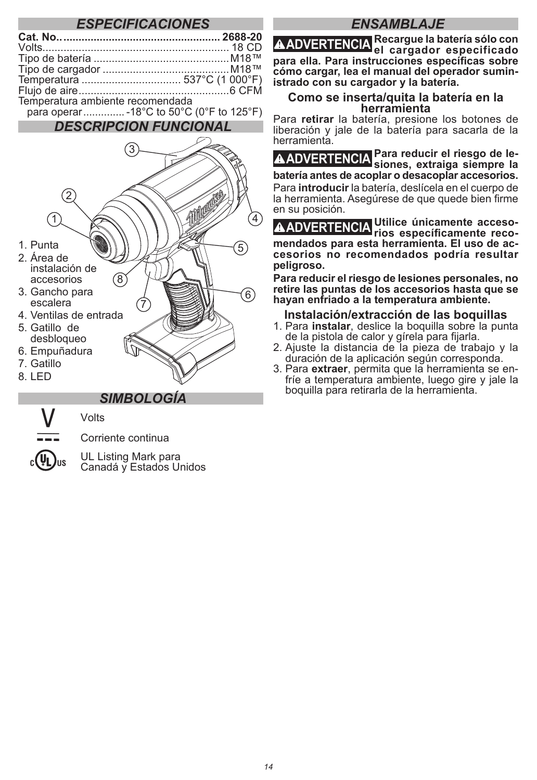#### *ESPECIFICACIONES*

| Temperatura ambiente recomendada |  |
|----------------------------------|--|

para operar.............. -18°C to 50°C (0°F to 125°F)

#### *DESCRIPCION FUNCIONAL*



#### *SIMBOLOGÍA*

Corriente continua **UL Listing Mark para** 

Volts

Canadá y Estados Unidos

#### *ENSAMBLAJE*

**ADVERTENCIA Recargue la batería sólo con el cargador especificado para ella. Para instrucciones específicas sobre cómo cargar, lea el manual del operador suministrado con su cargador y la batería.** 

### **Como se inserta/quita la batería en la herramienta**

Para **retirar** la batería, presione los botones de liberación y jale de la batería para sacarla de la herramienta.

**ADVERTENCIA Para reducir el riesgo de le-siones, extraiga siempre la batería antes de acoplar o desacoplar accesorios.**  Para **introducir** la batería, deslícela en el cuerpo de la herramienta. Asegúrese de que quede bien firme en su posición.

**ADVERTENCIA Utilice únicamente acceso-rios específicamente recomendados para esta herramienta. El uso de accesorios no recomendados podría resultar peligroso.**

**Para reducir el riesgo de lesiones personales, no retire las puntas de los accesorios hasta que se hayan enfriado a la temperatura ambiente.**

#### **Instalación/extracción de las boquillas**

- 1. Para **instalar**, deslice la boquilla sobre la punta de la pistola de calor y gírela para fijarla.
- 2. Ajuste la distancia de la pieza de trabajo y la duración de la aplicación según corresponda.
- 3. Para **extraer**, permita que la herramienta se en- fríe a temperatura ambiente, luego gire y jale la boquilla para retirarla de la herramienta.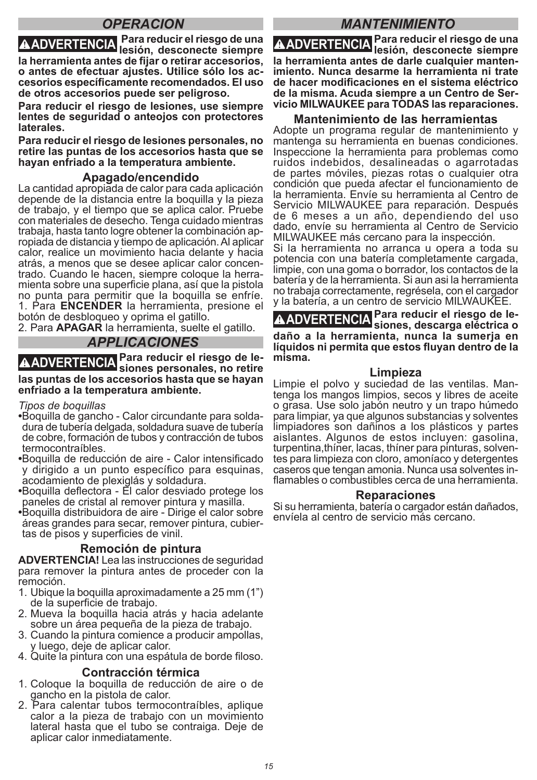#### *OPERACION*

**ADVERTENCIA Para reducir el riesgo de una lesión, desconecte siempre la herramienta antes de fijar o retirar accesorios, o antes de efectuar ajustes. Utilice sólo los accesorios específicamente recomendados. El uso de otros accesorios puede ser peligroso.**

**Para reducir el riesgo de lesiones, use siempre lentes de seguridad o anteojos con protectores laterales.**

**Para reducir el riesgo de lesiones personales, no retire las puntas de los accesorios hasta que se hayan enfriado a la temperatura ambiente.** 

#### **Apagado/encendido**

La cantidad apropiada de calor para cada aplicación depende de la distancia entre la boquilla y la pieza de trabajo, y el tiempo que se aplica calor. Pruebe con materiales de desecho. Tenga cuidado mientras ropiada de distancia y tiempo de aplicación. Al aplicar calor, realice un movimiento hacia delante y hacia atrás, a menos que se desee aplicar calor concen- trado. Cuando le hacen, siempre coloque la herra- mienta sobre una superficie plana, así que la pistola no punta para permitir que la boquilla se enfríe. 1. Para **ENCENDER** la herramienta, presione el botón de desbloqueo y oprima el gatillo.

2. Para **APAGAR** la herramienta, suelte el gatillo.

#### *APPLICACIONES*

**ADVERTENCIA Para reducir el riesgo de le-siones personales, no retire las puntas de los accesorios hasta que se hayan enfriado a la temperatura ambiente.**

*Tipos de boquillas*

**•**Boquilla de gancho - Calor circundante para solda- dura de tubería delgada, soldadura suave de tubería de cobre, formación de tubos y contracción de tubos termocontraíbles.

- **•**Boquilla de reducción de aire Calor intensificado y dirigido a un punto específico para esquinas, acodamiento de plexiglás y soldadura.
- **•**Boquilla deflectora El calor desviado protege los paneles de cristal al remover pintura y masilla.

**•**Boquilla distribuidora de aire - Dirige el calor sobre áreas grandes para secar, remover pintura, cubier- tas de pisos y superficies de vinil.

#### **Remoción de pintura**

**ADVERTENCIA!** Lea las instrucciones de seguridad para remover la pintura antes de proceder con la remoción.

- 1. Ubique la boquilla aproximadamente a 25 mm (1") de la superficie de trabajo.
- 2. Mueva la boquilla hacia atrás y hacia adelante sobre un área pequeña de la pieza de trabajo.
- 3. Cuando la pintura comience a producir ampollas, y luego, deje de aplicar calor.

4. Quite la pintura con una espátula de borde filoso.

#### **Contracción térmica**

- 1. Coloque la boquilla de reducción de aire o de gancho en la pistola de calor.
- 2. Para calentar tubos termocontraíbles, aplique calor a la pieza de trabajo con un movimiento lateral hasta que el tubo se contraiga. Deje de aplicar calor inmediatamente.

### *MANTENIMIENTO*

**ADVERTENCIA Para reducir el riesgo de una lesión, desconecte siempre la herramienta antes de darle cualquier mantenimiento. Nunca desarme la herramienta ni trate de hacer modificaciones en el sistema eléctrico de la misma. Acuda siempre a un Centro de Servicio MILWAUKEE para TODAS las reparaciones.**

#### **Mantenimiento de las herramientas**

Adopte un programa regular de mantenimiento y mantenga su herramienta en buenas condiciones. Inspeccione la herramienta para problemas como ruidos indebidos, desalineadas o agarrotadas de partes móviles, piezas rotas o cualquier otra condición que pueda afectar el funcionamiento de la herramienta. Envíe su herramienta al Centro de Servicio MILWAUKEE para reparación. Después de 6 meses a un año, dependiendo del uso dado, envíe su herramienta al Centro de Servicio MILWAUKEE más cercano para la inspección.

Si la herramienta no arranca u opera a toda su potencia con una batería completamente cargada, limpie, con una goma o borrador, los contactos de la batería y de la herramienta. Si aun asi la herramienta no trabaja correctamente, regrésela, con el cargador y la batería, a un centro de servicio MILWAUKEE.

**ADVERTENCIA Para reducir el riesgo de le-siones, descarga eléctrica o daño a la herramienta, nunca la sumerja en líquidos ni permita que estos fluyan dentro de la misma.**

**Limpieza**<br>Limpie el polvo y suciedad de las ventilas. Mantenga los mangos limpios, secos y libres de aceite o grasa. Use solo jabón neutro y un trapo húmedo para limpiar, ya que algunos substancias y solventes limpiadores son dañinos a los plásticos y partes aislantes. Algunos de estos incluyen: gasolina, turpentina,thíner, lacas, thíner para pinturas, solven- tes para limpieza con cloro, amoníaco y detergentes caseros que tengan amonia. Nunca usa solventes in- flamables o combustibles cerca de una herramienta.

#### **Reparaciones**

Si su herramienta, batería o cargador están dañados, envíela al centro de servicio más cercano.